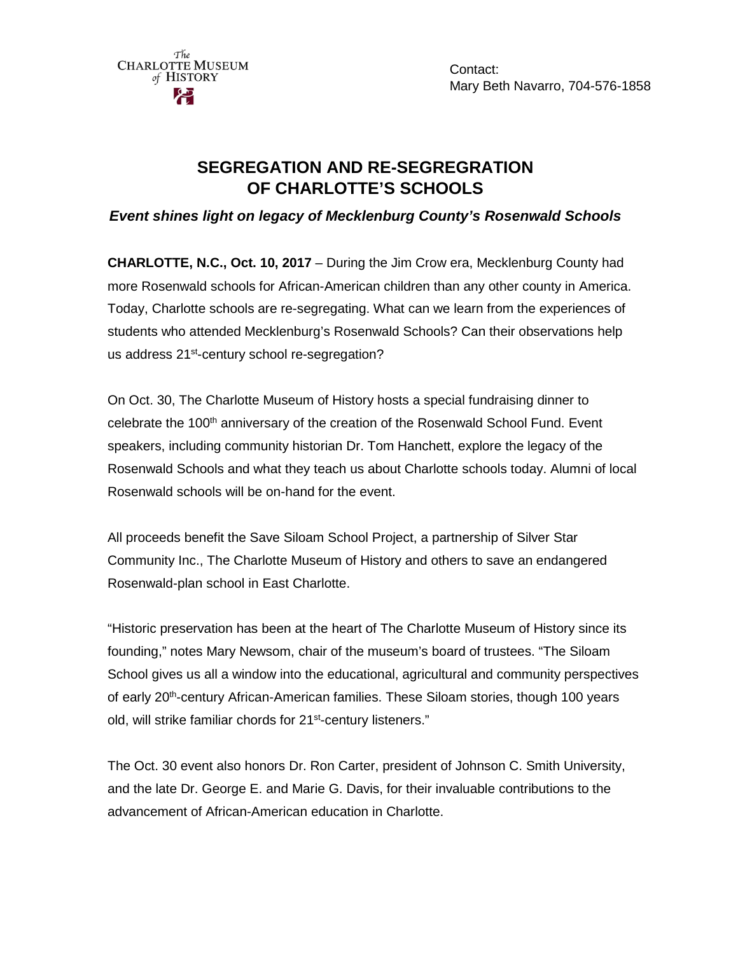

Contact: Mary Beth Navarro, 704-576-1858

# **SEGREGATION AND RE-SEGREGRATION OF CHARLOTTE'S SCHOOLS**

*Event shines light on legacy of Mecklenburg County's Rosenwald Schools*

**CHARLOTTE, N.C., Oct. 10, 2017** – During the Jim Crow era, Mecklenburg County had more Rosenwald schools for African-American children than any other county in America. Today, Charlotte schools are re-segregating. What can we learn from the experiences of students who attended Mecklenburg's Rosenwald Schools? Can their observations help us address 21<sup>st</sup>-century school re-segregation?

On Oct. 30, The Charlotte Museum of History hosts a special fundraising dinner to celebrate the 100<sup>th</sup> anniversary of the creation of the Rosenwald School Fund. Event speakers, including community historian Dr. Tom Hanchett, explore the legacy of the Rosenwald Schools and what they teach us about Charlotte schools today. Alumni of local Rosenwald schools will be on-hand for the event.

All proceeds benefit the Save Siloam School Project, a partnership of Silver Star Community Inc., The Charlotte Museum of History and others to save an endangered Rosenwald-plan school in East Charlotte.

"Historic preservation has been at the heart of The Charlotte Museum of History since its founding," notes Mary Newsom, chair of the museum's board of trustees. "The Siloam School gives us all a window into the educational, agricultural and community perspectives of early 20th-century African-American families. These Siloam stories, though 100 years old, will strike familiar chords for 21<sup>st</sup>-century listeners."

The Oct. 30 event also honors Dr. Ron Carter, president of Johnson C. Smith University, and the late Dr. George E. and Marie G. Davis, for their invaluable contributions to the advancement of African-American education in Charlotte.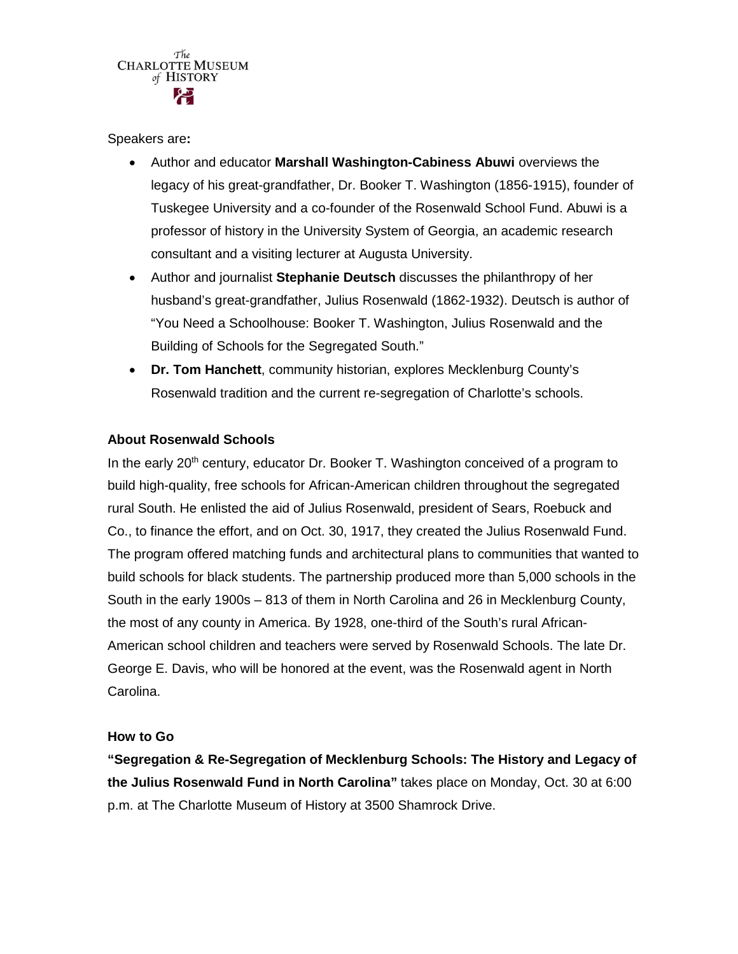

Speakers are**:**

- Author and educator **Marshall Washington-Cabiness Abuwi** overviews the legacy of his great-grandfather, Dr. Booker T. Washington (1856-1915), founder of Tuskegee University and a co-founder of the Rosenwald School Fund. Abuwi is a professor of history in the University System of Georgia, an academic research consultant and a visiting lecturer at Augusta University.
- Author and journalist **Stephanie Deutsch** discusses the philanthropy of her husband's great-grandfather, Julius Rosenwald (1862-1932). Deutsch is author of "You Need a Schoolhouse: Booker T. Washington, Julius Rosenwald and the Building of Schools for the Segregated South."
- **Dr. Tom Hanchett**, community historian, explores Mecklenburg County's Rosenwald tradition and the current re-segregation of Charlotte's schools.

## **About Rosenwald Schools**

In the early 20<sup>th</sup> century, educator Dr. Booker T. Washington conceived of a program to build high-quality, free schools for African-American children throughout the segregated rural South. He enlisted the aid of Julius Rosenwald, president of Sears, Roebuck and Co., to finance the effort, and on Oct. 30, 1917, they created the Julius Rosenwald Fund. The program offered matching funds and architectural plans to communities that wanted to build schools for black students. The partnership produced more than 5,000 schools in the South in the early 1900s – 813 of them in North Carolina and 26 in Mecklenburg County, the most of any county in America. By 1928, one-third of the South's rural African-American school children and teachers were served by Rosenwald Schools. The late Dr. George E. Davis, who will be honored at the event, was the Rosenwald agent in North Carolina.

### **How to Go**

**"Segregation & Re-Segregation of Mecklenburg Schools: The History and Legacy of the Julius Rosenwald Fund in North Carolina"** takes place on Monday, Oct. 30 at 6:00 p.m. at The Charlotte Museum of History at 3500 Shamrock Drive.